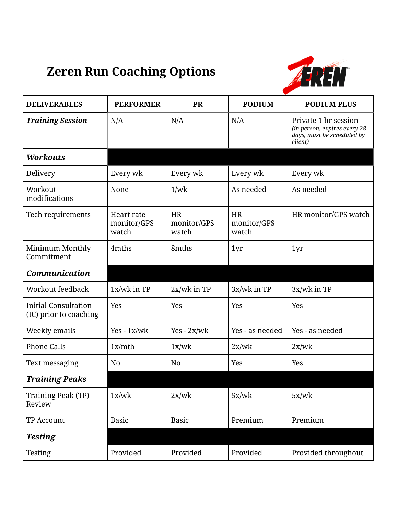## **Zeren Run Coaching Options**



| <b>DELIVERABLES</b>                                   | <b>PERFORMER</b>                   | <b>PR</b>                         | <b>PODIUM</b>                     | <b>PODIUM PLUS</b>                                                                            |
|-------------------------------------------------------|------------------------------------|-----------------------------------|-----------------------------------|-----------------------------------------------------------------------------------------------|
| <b>Training Session</b>                               | N/A                                | N/A                               | N/A                               | Private 1 hr session<br>(in person, expires every 28<br>days, must be scheduled by<br>client) |
| <b>Workouts</b>                                       |                                    |                                   |                                   |                                                                                               |
| Delivery                                              | Every wk                           | Every wk                          | Every wk                          | Every wk                                                                                      |
| Workout<br>modifications                              | None                               | 1/wk                              | As needed                         | As needed                                                                                     |
| Tech requirements                                     | Heart rate<br>monitor/GPS<br>watch | <b>HR</b><br>monitor/GPS<br>watch | <b>HR</b><br>monitor/GPS<br>watch | HR monitor/GPS watch                                                                          |
| Minimum Monthly<br>Commitment                         | 4mths                              | 8mths                             | 1yr                               | 1yr                                                                                           |
| <b>Communication</b>                                  |                                    |                                   |                                   |                                                                                               |
| <b>Workout feedback</b>                               | $1x/wk$ in TP                      | $2x/wk$ in TP                     | 3x/wk in TP                       | 3x/wk in TP                                                                                   |
| <b>Initial Consultation</b><br>(IC) prior to coaching | Yes                                | Yes                               | Yes                               | Yes                                                                                           |
| Weekly emails                                         | $Yes - 1x/wk$                      | $Yes - 2x/wk$                     | Yes - as needed                   | Yes - as needed                                                                               |
| <b>Phone Calls</b>                                    | 1x/mth                             | 1x/wk                             | 2x/wk                             | 2x/wk                                                                                         |
| Text messaging                                        | N <sub>0</sub>                     | N <sub>0</sub>                    | Yes                               | Yes                                                                                           |
| <b>Training Peaks</b>                                 |                                    |                                   |                                   |                                                                                               |
| <b>Training Peak (TP)</b><br>Review                   | 1x/wk                              | 2x/wk                             | 5x/wk                             | 5x/wk                                                                                         |
| <b>TP Account</b>                                     | <b>Basic</b>                       | <b>Basic</b>                      | Premium                           | Premium                                                                                       |
| <b>Testing</b>                                        |                                    |                                   |                                   |                                                                                               |
| Testing                                               | Provided                           | Provided                          | Provided                          | Provided throughout                                                                           |